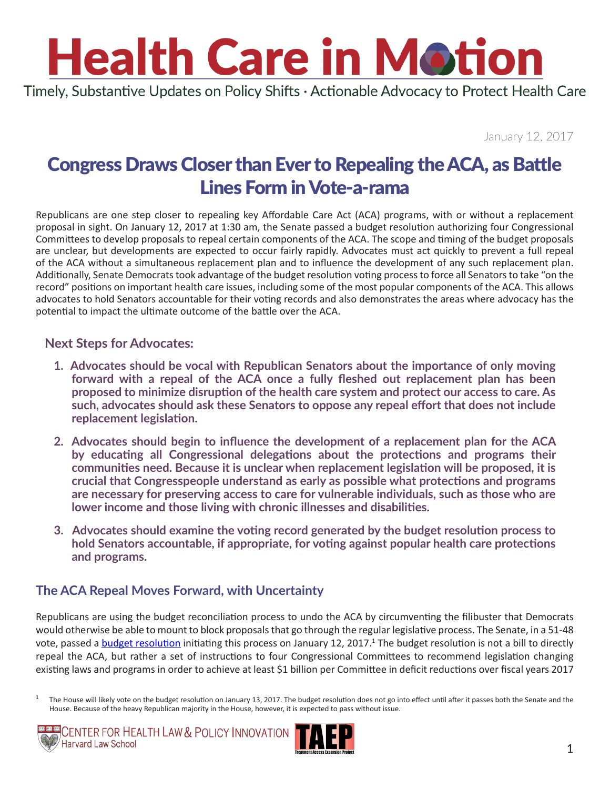# **Health Care in Motion**

Timely, Substantive Updates on Policy Shifts · Actionable Advocacy to Protect Health Care

January 12, 2017

### Congress Draws Closer than Ever to Repealing the ACA, as Battle Lines Form in Vote-a-rama

Republicans are one step closer to repealing key Affordable Care Act (ACA) programs, with or without a replacement proposal in sight. On January 12, 2017 at 1:30 am, the Senate passed a budget resolution authorizing four Congressional Committees to develop proposals to repeal certain components of the ACA. The scope and timing of the budget proposals are unclear, but developments are expected to occur fairly rapidly. Advocates must act quickly to prevent a full repeal of the ACA without a simultaneous replacement plan and to influence the development of any such replacement plan. Additionally, Senate Democrats took advantage of the budget resolution voting process to force all Senators to take "on the record" positions on important health care issues, including some of the most popular components of the ACA. This allows advocates to hold Senators accountable for their voting records and also demonstrates the areas where advocacy has the potential to impact the ultimate outcome of the battle over the ACA.

#### **Next Steps for Advocates:**

- **1. Advocates should be vocal with Republican Senators about the importance of only moving forward with a repeal of the ACA once a fully fleshed out replacement plan has been proposed to minimize disruption of the health care system and protect our access to care. As such, advocates should ask these Senators to oppose any repeal effort that does not include replacement legislation.**
- **2. Advocates should begin to influence the development of a replacement plan for the ACA by educating all Congressional delegations about the protections and programs their communities need. Because it is unclear when replacement legislation will be proposed, it is crucial that Congresspeople understand as early as possible what protections and programs are necessary for preserving access to care for vulnerable individuals, such as those who are lower income and those living with chronic illnesses and disabilities.**
- **3. Advocates should examine the voting record generated by the budget resolution process to hold Senators accountable, if appropriate, for voting against popular health care protections and programs.**

#### **The ACA Repeal Moves Forward, with Uncertainty**

Republicans are using the budget reconciliation process to undo the ACA by circumventing the filibuster that Democrats would otherwise be able to mount to block proposals that go through the regular legislative process. The Senate, in a 51-48 vote, passed a [budget resolution](http://www.budget.senate.gov/imo/media/doc/HEN17065.pdf) initiating this process on January 12, 2017.<sup>1</sup> The budget resolution is not a bill to directly repeal the ACA, but rather a set of instructions to four Congressional Committees to recommend legislation changing existing laws and programs in order to achieve at least \$1 billion per Committee in deficit reductions over fiscal years 2017

 $1$  The House will likely vote on the budget resolution on January 13, 2017. The budget resolution does not go into effect until after it passes both the Senate and the House. Because of the heavy Republican majority in the House, however, it is expected to pass without issue.



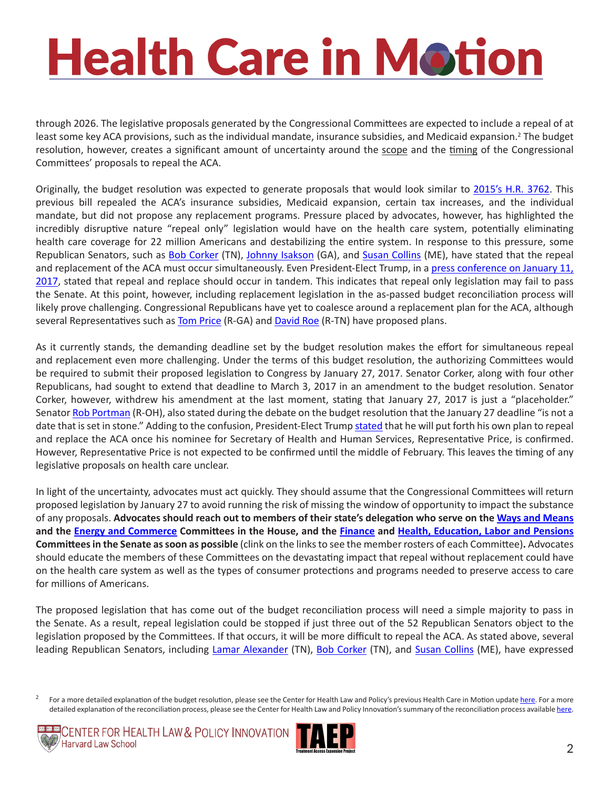# **Health Care in Motion**

through 2026. The legislative proposals generated by the Congressional Committees are expected to include a repeal of at least some key ACA provisions, such as the individual mandate, insurance subsidies, and Medicaid expansion.<sup>2</sup> The budget resolution, however, creates a significant amount of uncertainty around the scope and the timing of the Congressional Committees' proposals to repeal the ACA.

Originally, the budget resolution was expected to generate proposals that would look similar to [2015's H.R. 3762.](https://www.govtrack.us/congress/bills/114/hr3762/summary) This previous bill repealed the ACA's insurance subsidies, Medicaid expansion, certain tax increases, and the individual mandate, but did not propose any replacement programs. Pressure placed by advocates, however, has highlighted the incredibly disruptive nature "repeal only" legislation would have on the health care system, potentially eliminating health care coverage for 22 million Americans and destabilizing the entire system. In response to this pressure, some Republican Senators, such as **[Bob Corker](https://www.corker.senate.gov/public/index.cfm/officelocations)** (TN), [Johnny Isakson](https://www.isakson.senate.gov/public/index.cfm/email-me) (GA), and [Susan Collins](https://www.collins.senate.gov/contact) (ME), have stated that the repeal and replacement of the ACA must occur simultaneously. Even President-Elect Trump, in a [press conference on January 11,](http://www.cnbc.com/2017/01/11/transcript-of-president-elect-donald-j-trumps-news-conference.html) [2017](http://www.cnbc.com/2017/01/11/transcript-of-president-elect-donald-j-trumps-news-conference.html), stated that repeal and replace should occur in tandem. This indicates that repeal only legislation may fail to pass the Senate. At this point, however, including replacement legislation in the as-passed budget reconciliation process will likely prove challenging. Congressional Republicans have yet to coalesce around a replacement plan for the ACA, although several Representatives such as **[Tom Price](http://tomprice.house.gov/sites/tomprice.house.gov/files/HR 2300 Empowering Patients First Act 2015.pdf) (R-GA)** and **[David Roe](http://rsc.flores.house.gov/files/Initiatives/AHCRA - Final Bill Text 115th.pdf) (R-TN)** have proposed plans.

As it currently stands, the demanding deadline set by the budget resolution makes the effort for simultaneous repeal and replacement even more challenging. Under the terms of this budget resolution, the authorizing Committees would be required to submit their proposed legislation to Congress by January 27, 2017. Senator Corker, along with four other Republicans, had sought to extend that deadline to March 3, 2017 in an amendment to the budget resolution. Senator Corker, however, withdrew his amendment at the last moment, stating that January 27, 2017 is just a "placeholder." Senator [Rob Portman](http://www.portman.senate.gov/public/index.cfm/office-locations?) (R-OH), also stated during the debate on the budget resolution that the January 27 deadline "is not a date that is set in stone." Adding to the confusion, President-Elect Trump [stated](http://www.cnbc.com/2017/01/11/transcript-of-president-elect-donald-j-trumps-news-conference.html) that he will put forth his own plan to repeal and replace the ACA once his nominee for Secretary of Health and Human Services, Representative Price, is confirmed. However, Representative Price is not expected to be confirmed until the middle of February. This leaves the timing of any legislative proposals on health care unclear.

In light of the uncertainty, advocates must act quickly. They should assume that the Congressional Committees will return proposed legislation by January 27 to avoid running the risk of missing the window of opportunity to impact the substance of any proposals. **Advocates should reach out to members of their state's delegation who serve on the [Ways and Means](https://waysandmeans.house.gov/subcommittee/full-committee/) and the [Energy and Commerce](https://energycommerce.house.gov/about-ec/energy-commerce-committee-members) Committees in the House, and the [Finance](https://www.finance.senate.gov/about/membership) and [Health, Education, Labor and Pensions](https://www.help.senate.gov/about) Committees in the Senate as soon as possible** (clink on the links to see the member rosters of each Committee)**.** Advocates should educate the members of these Committees on the devastating impact that repeal without replacement could have on the health care system as well as the types of consumer protections and programs needed to preserve access to care for millions of Americans.

The proposed legislation that has come out of the budget reconciliation process will need a simple majority to pass in the Senate. As a result, repeal legislation could be stopped if just three out of the 52 Republican Senators object to the legislation proposed by the Committees. If that occurs, it will be more difficult to repeal the ACA. As stated above, several leading Republican Senators, including [Lamar Alexander](http://www.alexander.senate.gov/public/index.cfm/officelocations) (TN), [Bob Corker](https://www.corker.senate.gov/public/index.cfm/officelocations) (TN), and [Susan Collins](https://www.collins.senate.gov/contact) (ME), have expressed

For a more detailed explanation of the budget resolution, please see the Center for Health Law and Policy's previous Health Care in Motion update [here](http://www.chlpi.org/wp-content/uploads/2013/12/Health-Care-in-Motion_01_04_2017.pdf). For a more detailed explanation of the reconciliation process, please see the Center for Health Law and Policy Innovation's summary of the reconciliation process available [here.](http://www.chlpi.org/wp-content/uploads/2013/12/Repeal-Reconciliation-and-Review-circulation2.pdf)